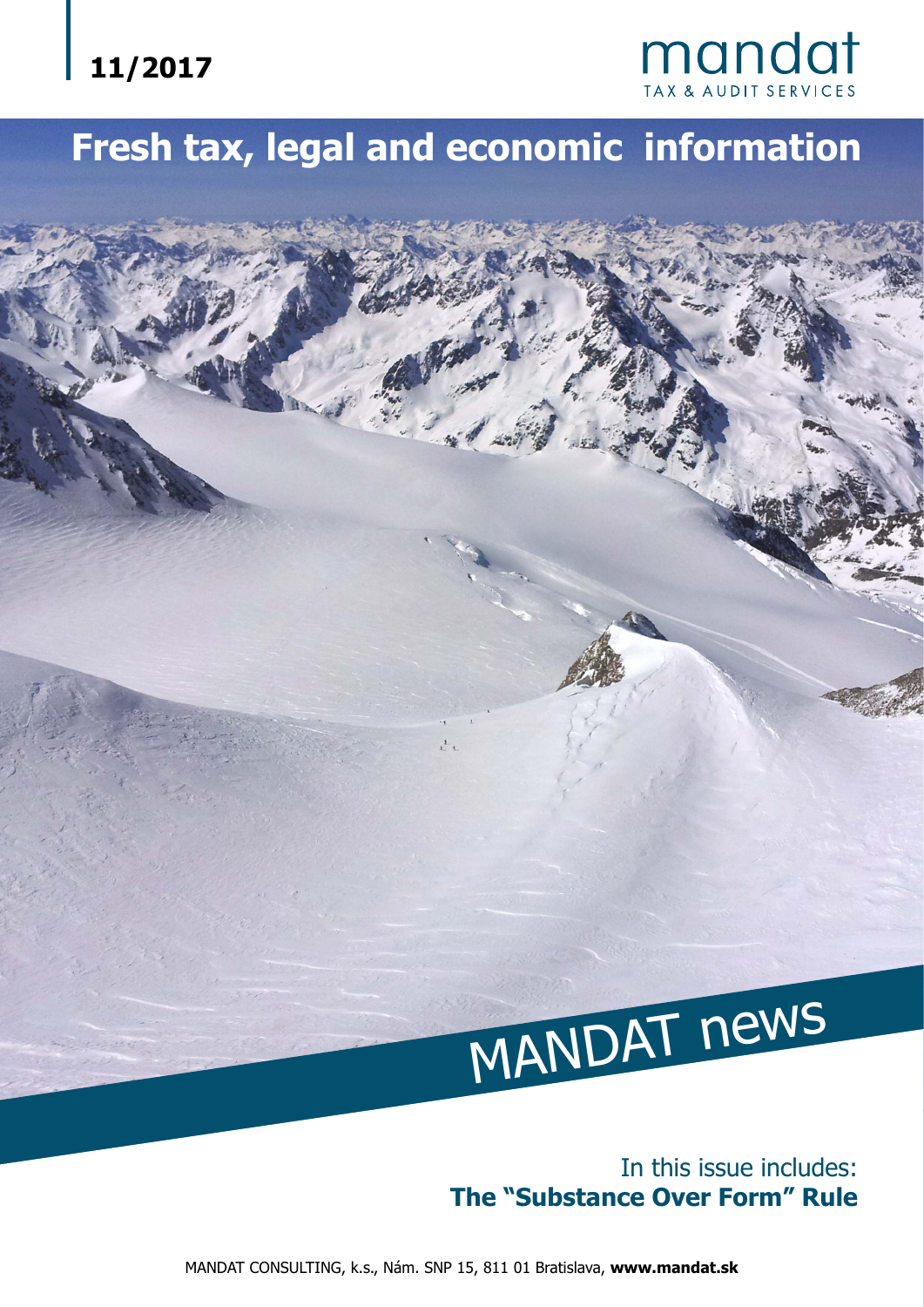

# **Fresh tax, legal and economic information**



#### In this issue includes: **The "Substance Over Form" Rule**

MANDAT CONSULTING, k.s., Nám. SNP 15, 811 01 Bratislava, **www.mandat.sk**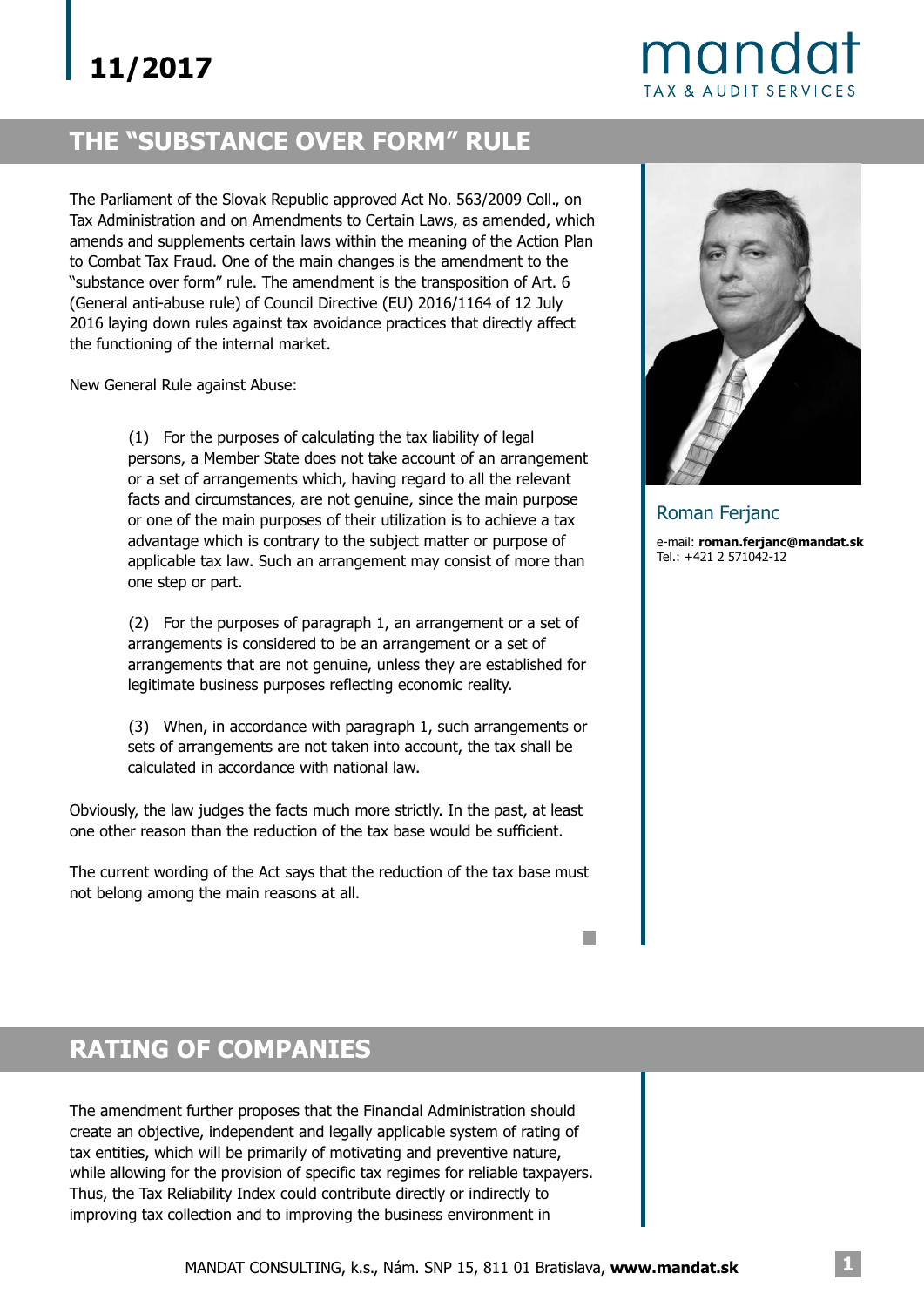## mando **TAX & AUDIT SERVICES**

### **THE "SUBSTANCE OVER FORM" RULE**

The Parliament of the Slovak Republic approved Act No. 563/2009 Coll., on Tax Administration and on Amendments to Certain Laws, as amended, which amends and supplements certain laws within the meaning of the Action Plan to Combat Tax Fraud. One of the main changes is the amendment to the "substance over form" rule. The amendment is the transposition of Art. 6 (General anti-abuse rule) of Council Directive (EU) 2016/1164 of 12 July 2016 laying down rules against tax avoidance practices that directly affect the functioning of the internal market.

New General Rule against Abuse:

(1) For the purposes of calculating the tax liability of legal persons, a Member State does not take account of an arrangement or a set of arrangements which, having regard to all the relevant facts and circumstances, are not genuine, since the main purpose or one of the main purposes of their utilization is to achieve a tax advantage which is contrary to the subject matter or purpose of applicable tax law. Such an arrangement may consist of more than one step or part.

(2) For the purposes of paragraph 1, an arrangement or a set of arrangements is considered to be an arrangement or a set of arrangements that are not genuine, unless they are established for legitimate business purposes reflecting economic reality.

(3) When, in accordance with paragraph 1, such arrangements or sets of arrangements are not taken into account, the tax shall be calculated in accordance with national law.

Obviously, the law judges the facts much more strictly. In the past, at least one other reason than the reduction of the tax base would be sufficient.

The current wording of the Act says that the reduction of the tax base must not belong among the main reasons at all.



Roman Ferjanc

e-mail: **roman.ferjanc@mandat.sk** Tel.: +421 2 571042-12

## **RATING OF COMPANIES**

The amendment further proposes that the Financial Administration should create an objective, independent and legally applicable system of rating of tax entities, which will be primarily of motivating and preventive nature, while allowing for the provision of specific tax regimes for reliable taxpayers. Thus, the Tax Reliability Index could contribute directly or indirectly to improving tax collection and to improving the business environment in

**I**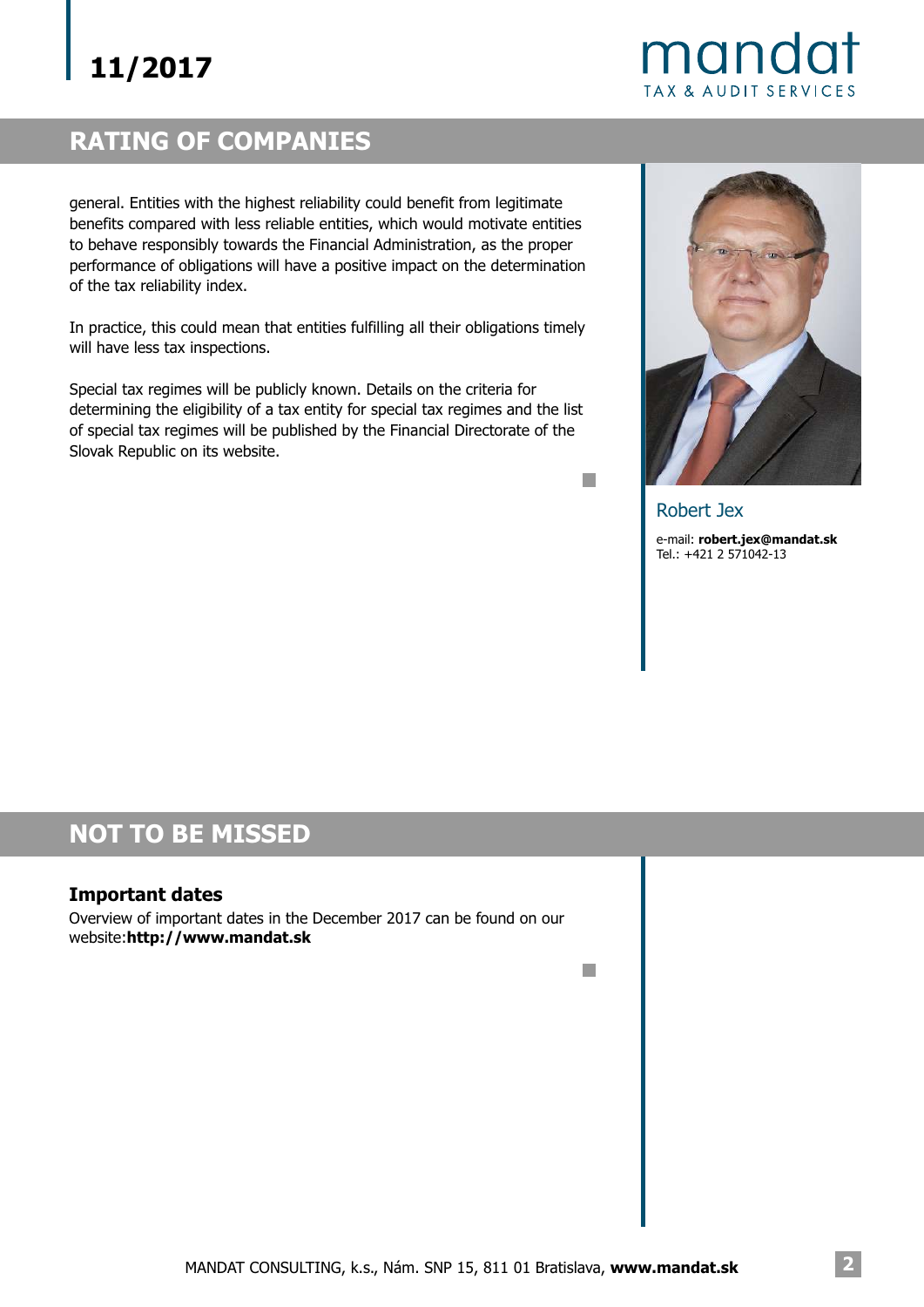mandat **TAX & AUDIT SERVICES** 

### **RATING OF COMPANIES**

general. Entities with the highest reliability could benefit from legitimate benefits compared with less reliable entities, which would motivate entities to behave responsibly towards the Financial Administration, as the proper performance of obligations will have a positive impact on the determination of the tax reliability index.

In practice, this could mean that entities fulfilling all their obligations timely will have less tax inspections.

Special tax regimes will be publicly known. Details on the criteria for determining the eligibility of a tax entity for special tax regimes and the list of special tax regimes will be published by the Financial Directorate of the Slovak Republic on its website.



Robert Jex e-mail: **robert.jex@mandat.sk** Tel.: +421 2 571042-13

n.

n.

#### **NOT TO BE MISSED**

#### **Important dates**

Overview of important dates in the December 2017 can be found on our website:**http://www.mandat.sk**